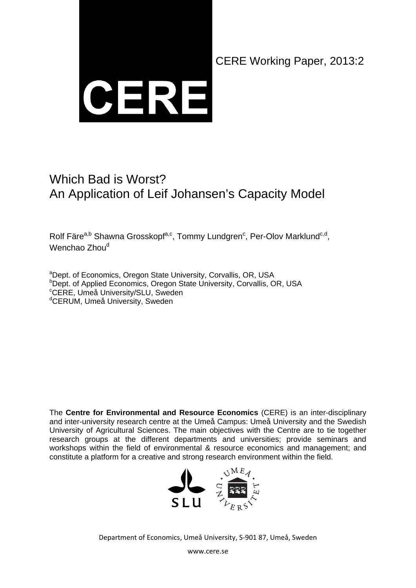

CERE Working Paper, 2013:2

# Which Bad is Worst? An Application of Leif Johansen's Capacity Model

Rolf Färe<sup>a,b</sup> Shawna Grosskopf<sup>a,c</sup>, Tommy Lundgren<sup>c</sup>, Per-Olov Marklund<sup>c,d</sup>, Wenchao Zhou<sup>d</sup>

<sup>a</sup>Dept. of Economics, Oregon State University, Corvallis, OR, USA <sup>b</sup>Dept. of Applied Economics, Oregon State University, Corvallis, OR, USA c CERE, Umeå University/SLU, Sweden <sup>d</sup>CERUM, Umeå University, Sweden

The **Centre for Environmental and Resource Economics** (CERE) is an inter-disciplinary and inter-university research centre at the Umeå Campus: Umeå University and the Swedish University of Agricultural Sciences. The main objectives with the Centre are to tie together research groups at the different departments and universities; provide seminars and workshops within the field of environmental & resource economics and management; and constitute a platform for a creative and strong research environment within the field.



Department of Economics, Umeå University, S‐901 87, Umeå, Sweden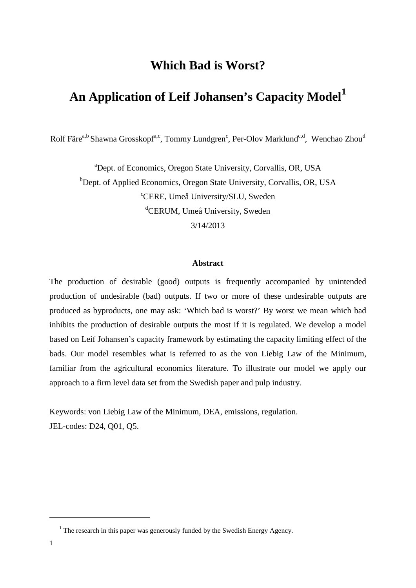# **Which Bad is Worst?**

# **An Application of Leif Johansen's Capacity Model[1](#page-1-0)**

Rolf Färe<sup>a,b</sup> Shawna Grosskopf<sup>a,c</sup>, Tommy Lundgren<sup>c</sup>, Per-Olov Marklund<sup>c,d</sup>, Wenchao Zhou<sup>d</sup>

a Dept. of Economics, Oregon State University, Corvallis, OR, USA <sup>b</sup>Dept. of Applied Economics, Oregon State University, Corvallis, OR, USA c CERE, Umeå University/SLU, Sweden d CERUM, Umeå University, Sweden 3/14/2013

#### **Abstract**

The production of desirable (good) outputs is frequently accompanied by unintended production of undesirable (bad) outputs. If two or more of these undesirable outputs are produced as byproducts, one may ask: 'Which bad is worst?' By worst we mean which bad inhibits the production of desirable outputs the most if it is regulated. We develop a model based on Leif Johansen's capacity framework by estimating the capacity limiting effect of the bads. Our model resembles what is referred to as the von Liebig Law of the Minimum, familiar from the agricultural economics literature. To illustrate our model we apply our approach to a firm level data set from the Swedish paper and pulp industry.

Keywords: von Liebig Law of the Minimum, DEA, emissions, regulation. JEL-codes: D24, Q01, Q5.

<span id="page-1-0"></span><sup>&</sup>lt;sup>1</sup> The research in this paper was generously funded by the Swedish Energy Agency.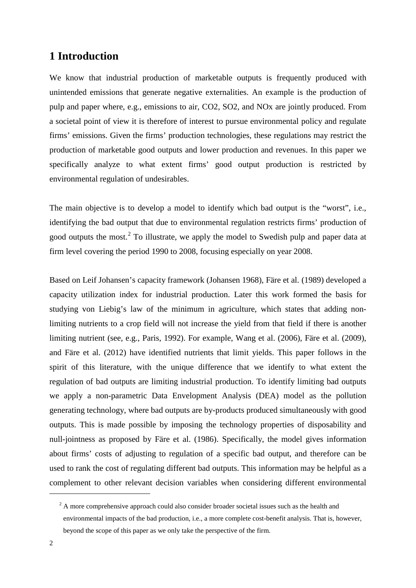### **1 Introduction**

We know that industrial production of marketable outputs is frequently produced with unintended emissions that generate negative externalities. An example is the production of pulp and paper where, e.g., emissions to air, CO2, SO2, and NOx are jointly produced. From a societal point of view it is therefore of interest to pursue environmental policy and regulate firms' emissions. Given the firms' production technologies, these regulations may restrict the production of marketable good outputs and lower production and revenues. In this paper we specifically analyze to what extent firms' good output production is restricted by environmental regulation of undesirables.

The main objective is to develop a model to identify which bad output is the "worst", i.e., identifying the bad output that due to environmental regulation restricts firms' production of good outputs the most.<sup>[2](#page-2-0)</sup> To illustrate, we apply the model to Swedish pulp and paper data at firm level covering the period 1990 to 2008, focusing especially on year 2008.

Based on Leif Johansen's capacity framework (Johansen 1968), Färe et al. (1989) developed a capacity utilization index for industrial production. Later this work formed the basis for studying von Liebig's law of the minimum in agriculture, which states that adding nonlimiting nutrients to a crop field will not increase the yield from that field if there is another limiting nutrient (see, e.g., Paris, 1992). For example, Wang et al. (2006), Färe et al. (2009), and Färe et al. (2012) have identified nutrients that limit yields. This paper follows in the spirit of this literature, with the unique difference that we identify to what extent the regulation of bad outputs are limiting industrial production. To identify limiting bad outputs we apply a non-parametric Data Envelopment Analysis (DEA) model as the pollution generating technology, where bad outputs are by-products produced simultaneously with good outputs. This is made possible by imposing the technology properties of disposability and null-jointness as proposed by Färe et al. (1986). Specifically, the model gives information about firms' costs of adjusting to regulation of a specific bad output, and therefore can be used to rank the cost of regulating different bad outputs. This information may be helpful as a complement to other relevant decision variables when considering different environmental

<span id="page-2-0"></span> $2^2$  A more comprehensive approach could also consider broader societal issues such as the health and environmental impacts of the bad production, i.e., a more complete cost-benefit analysis. That is, however, beyond the scope of this paper as we only take the perspective of the firm.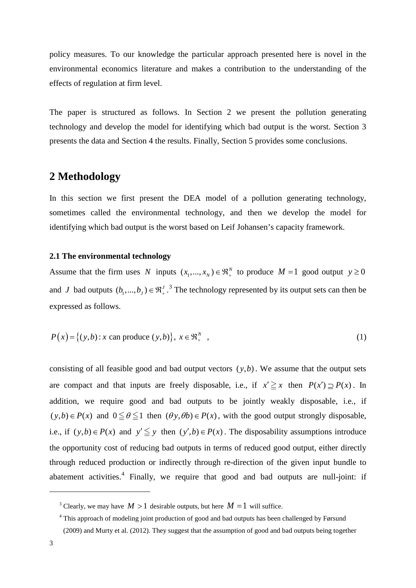policy measures. To our knowledge the particular approach presented here is novel in the environmental economics literature and makes a contribution to the understanding of the effects of regulation at firm level.

The paper is structured as follows. In Section 2 we present the pollution generating technology and develop the model for identifying which bad output is the worst. Section 3 presents the data and Section 4 the results. Finally, Section 5 provides some conclusions.

### **2 Methodology**

In this section we first present the DEA model of a pollution generating technology, sometimes called the environmental technology, and then we develop the model for identifying which bad output is the worst based on Leif Johansen's capacity framework.

#### **2.1 The environmental technology**

Assume that the firm uses *N* inputs  $(x_1, ..., x_N) \in \mathbb{R}^N_+$  to produce  $M = 1$  good output  $y \ge 0$ and *J* bad outputs  $(b_1, ..., b_J) \in \mathbb{R}^J$ .<sup>[3](#page-3-0)</sup> The technology represented by its output sets can then be expressed as follows.

$$
P(x) = \{(y, b) : x \text{ can produce } (y, b)\}, x \in \mathfrak{R}_+^N \tag{1}
$$

consisting of all feasible good and bad output vectors  $(y, b)$ . We assume that the output sets are compact and that inputs are freely disposable, i.e., if  $x' \ge x$  then  $P(x') \supset P(x)$ . In addition, we require good and bad outputs to be jointly weakly disposable, i.e., if  $(y, b) \in P(x)$  and  $0 \le \theta \le 1$  then  $(\theta y, \theta b) \in P(x)$ , with the good output strongly disposable, i.e., if  $(y,b) \in P(x)$  and  $y' \leq y$  then  $(y',b) \in P(x)$ . The disposability assumptions introduce the opportunity cost of reducing bad outputs in terms of reduced good output, either directly through reduced production or indirectly through re-direction of the given input bundle to abatement activities.<sup>[4](#page-3-1)</sup> Finally, we require that good and bad outputs are null-joint: if

<span id="page-3-0"></span><sup>&</sup>lt;sup>3</sup> Clearly, we may have  $M > 1$  desirable outputs, but here  $M = 1$  will suffice.

<span id="page-3-1"></span><sup>&</sup>lt;sup>4</sup> This approach of modeling joint production of good and bad outputs has been challenged by Førsund

<sup>(2009)</sup> and Murty et al. (2012). They suggest that the assumption of good and bad outputs being together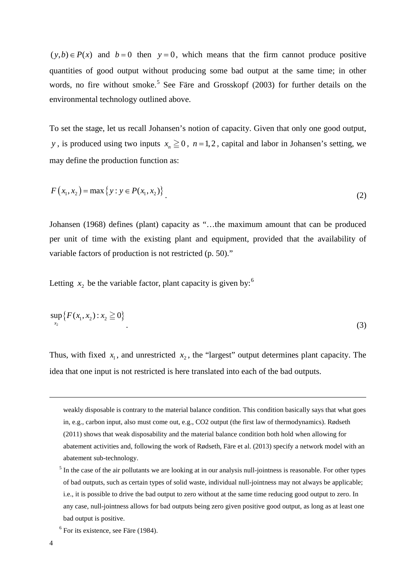$(y,b) \in P(x)$  and  $b=0$  then  $y=0$ , which means that the firm cannot produce positive quantities of good output without producing some bad output at the same time; in other words, no fire without smoke.<sup>[5](#page-4-0)</sup> See Färe and Grosskopf (2003) for further details on the environmental technology outlined above.

To set the stage, let us recall Johansen's notion of capacity. Given that only one good output, *y*, is produced using two inputs  $x_n \ge 0$ ,  $n = 1, 2$ , capital and labor in Johansen's setting, we may define the production function as:

$$
F(x_1, x_2) = \max \{ y : y \in P(x_1, x_2) \}.
$$
 (2)

Johansen (1968) defines (plant) capacity as "…the maximum amount that can be produced per unit of time with the existing plant and equipment, provided that the availability of variable factors of production is not restricted (p. 50)."

Letting  $x_2$  be the variable factor, plant capacity is given by:<sup>[6](#page-4-1)</sup>

$$
\sup_{x_2} \{ F(x_1, x_2) : x_2 \ge 0 \}
$$
\n(3)

Thus, with fixed  $x_1$ , and unrestricted  $x_2$ , the "largest" output determines plant capacity. The idea that one input is not restricted is here translated into each of the bad outputs.

weakly disposable is contrary to the material balance condition. This condition basically says that what goes in, e.g., carbon input, also must come out, e.g., CO2 output (the first law of thermodynamics). Rødseth (2011) shows that weak disposability and the material balance condition both hold when allowing for abatement activities and, following the work of Rødseth, Färe et al. (2013) specify a network model with an abatement sub-technology.

-

<span id="page-4-0"></span> $<sup>5</sup>$  In the case of the air pollutants we are looking at in our analysis null-jointness is reasonable. For other types</sup> of bad outputs, such as certain types of solid waste, individual null-jointness may not always be applicable; i.e., it is possible to drive the bad output to zero without at the same time reducing good output to zero. In any case, null-jointness allows for bad outputs being zero given positive good output, as long as at least one bad output is positive.

<span id="page-4-1"></span> $<sup>6</sup>$  For its existence, see Färe (1984).</sup>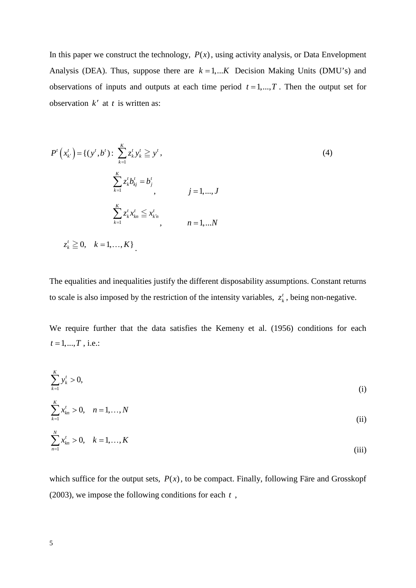In this paper we construct the technology,  $P(x)$ , using activity analysis, or Data Envelopment Analysis (DEA). Thus, suppose there are  $k = 1,...K$  Decision Making Units (DMU's) and observations of inputs and outputs at each time period  $t = 1, ..., T$ . Then the output set for observation *k*′ at *t* is written as:

$$
P'\left(x_{k'}^t\right) = \left\{(y^t, b^t) : \sum_{k=1}^K z_k^t y_k^t \geq y^t, \right.\newline\n\sum_{k=1}^K z_k^t b_{kj}^t = b_j^t, \quad j = 1, ..., J\n\end{aligned}
$$
\n
$$
\sum_{k=1}^K z_k^t x_{kn}^t \leq x_{k'n}^t, \quad j = 1, ..., N
$$
\n
$$
z_k^t \geq 0, \quad k = 1, ..., K
$$
\n(4)

The equalities and inequalities justify the different disposability assumptions. Constant returns to scale is also imposed by the restriction of the intensity variables,  $z<sub>k</sub><sup>t</sup>$ , being non-negative.

We require further that the data satisfies the Kemeny et al. (1956) conditions for each  $t = 1, ..., T$ , i.e.:

$$
\sum_{k=1}^{K} y_k^t > 0,\tag{i}
$$

$$
\sum_{k=1}^{K} x_{kn}^{t} > 0, \quad n = 1, ..., N
$$
 (ii)

$$
\sum_{n=1}^{N} x_{kn}^{t} > 0, \quad k = 1, ..., K
$$
 (iii)

which suffice for the output sets,  $P(x)$ , to be compact. Finally, following Färe and Grosskopf (2003), we impose the following conditions for each *t* ,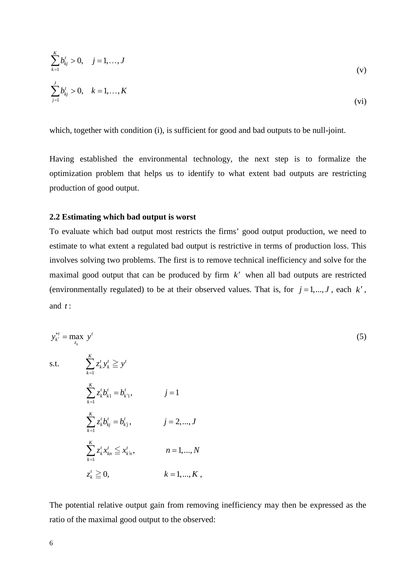$$
\sum_{k=1}^{K} b_{kj}^{t} > 0, \quad j = 1, ..., J
$$
\n
$$
\sum_{j=1}^{J} b_{kj}^{t} > 0, \quad k = 1, ..., K
$$
\n(v)

which, together with condition (i), is sufficient for good and bad outputs to be null-joint.

Having established the environmental technology, the next step is to formalize the optimization problem that helps us to identify to what extent bad outputs are restricting production of good output.

#### **2.2 Estimating which bad output is worst**

To evaluate which bad output most restricts the firms' good output production, we need to estimate to what extent a regulated bad output is restrictive in terms of production loss. This involves solving two problems. The first is to remove technical inefficiency and solve for the maximal good output that can be produced by firm *k*′ when all bad outputs are restricted (environmentally regulated) to be at their observed values. That is, for  $j = 1, ..., J$ , each  $k'$ , and *t* :

$$
y_{k'}^{*t} = \max_{z_k} y^t
$$
  
s.t. 
$$
\sum_{k=1}^{K} z_k' y_k' \geq y^t
$$

$$
\sum_{k=1}^{K} z_k' b_{k1}' = b_{k1}', \qquad j = 1
$$

$$
\sum_{k=1}^{K} z_k' b_{kj}' = b_{kj}', \qquad j = 2, ..., J
$$

$$
\sum_{k=1}^{K} z_k' x_{kn}' \leq x_{kn}', \qquad n = 1, ..., N
$$

$$
z_k' \geq 0, \qquad k = 1, ..., K,
$$

The potential relative output gain from removing inefficiency may then be expressed as the ratio of the maximal good output to the observed: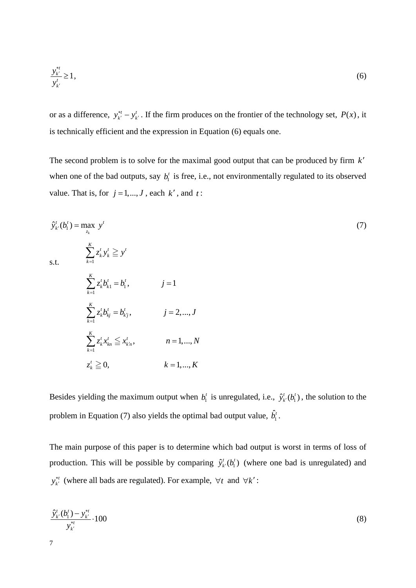$$
\frac{y_{k'}^{*t}}{y_{k'}^t} \ge 1,\tag{6}
$$

or as a difference,  $y_{k'}^{*t} - y_{k'}^{t}$ . If the firm produces on the frontier of the technology set,  $P(x)$ , it is technically efficient and the expression in Equation (6) equals one.

The second problem is to solve for the maximal good output that can be produced by firm *k*′ when one of the bad outputs, say  $b_1^t$  is free, i.e., not environmentally regulated to its observed value. That is, for  $j = 1, ..., J$ , each  $k'$ , and  $t$ :

$$
\hat{y}'_{k'}(b'_1) = \max_{z_k} y'
$$
\n
$$
\sum_{k=1}^K z'_k y'_k \geq y'
$$
\n
$$
\sum_{k=1}^K z'_k b'_{k} = b'_1, \qquad j = 1
$$
\n
$$
\sum_{k=1}^K z'_k b'_{kj} = b'_{kj}, \qquad j = 2, ..., J
$$
\n
$$
\sum_{k=1}^K z'_k x'_{kn} \leq x'_{k'n}, \qquad n = 1, ..., N
$$
\n
$$
z'_k \geq 0, \qquad k = 1, ..., K
$$
\n
$$
(7)
$$

Besides yielding the maximum output when  $b_1^t$  is unregulated, i.e.,  $\hat{y}_{k'}^t(b_1^t)$ , the solution to the problem in Equation (7) also yields the optimal bad output value,  $\hat{b}_1^t$ .

The main purpose of this paper is to determine which bad output is worst in terms of loss of production. This will be possible by comparing  $\hat{y}_k^t(b_1^t)$  (where one bad is unregulated) and *y*<sup>∗*t*</sup></sup> (where all bads are regulated). For example,  $∀t$  and  $∀k'$ :

$$
\frac{\hat{y}_{k'}^t(b_1^t) - y_{k'}^{*t}}{y_{k'}^{*t}} \cdot 100
$$
\n(8)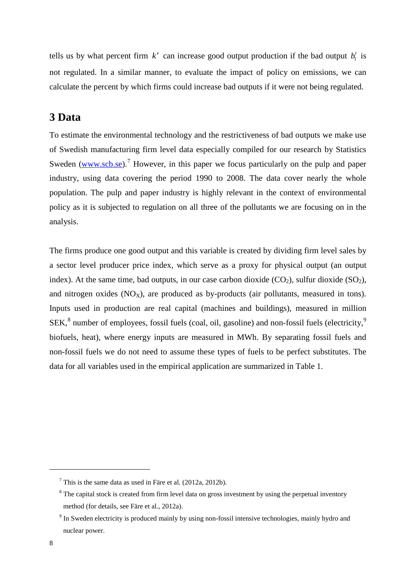tells us by what percent firm  $k'$  can increase good output production if the bad output  $b'_i$  is not regulated. In a similar manner, to evaluate the impact of policy on emissions, we can calculate the percent by which firms could increase bad outputs if it were not being regulated.

### **3 Data**

To estimate the environmental technology and the restrictiveness of bad outputs we make use of Swedish manufacturing firm level data especially compiled for our research by Statistics Sweden [\(www.scb.se\)](http://www.scb.se/).<sup>[7](#page-8-0)</sup> However, in this paper we focus particularly on the pulp and paper industry, using data covering the period 1990 to 2008. The data cover nearly the whole population. The pulp and paper industry is highly relevant in the context of environmental policy as it is subjected to regulation on all three of the pollutants we are focusing on in the analysis.

The firms produce one good output and this variable is created by dividing firm level sales by a sector level producer price index, which serve as a proxy for physical output (an output index). At the same time, bad outputs, in our case carbon dioxide  $(CO<sub>2</sub>)$ , sulfur dioxide  $(SO<sub>2</sub>)$ , and nitrogen oxides  $(NO_X)$ , are produced as by-products (air pollutants, measured in tons). Inputs used in production are real capital (machines and buildings), measured in million SEK,<sup>[8](#page-8-1)</sup> number of employees, fossil fuels (coal, oil, gasoline) and non-fossil fuels (electricity,<sup>[9](#page-8-2)</sup>) biofuels, heat), where energy inputs are measured in MWh. By separating fossil fuels and non-fossil fuels we do not need to assume these types of fuels to be perfect substitutes. The data for all variables used in the empirical application are summarized in Table 1.

<span id="page-8-0"></span> $^7$  This is the same data as used in Färe et al. (2012a, 2012b).

<span id="page-8-1"></span><sup>&</sup>lt;sup>8</sup> The capital stock is created from firm level data on gross investment by using the perpetual inventory method (for details, see Färe et al., 2012a).

<span id="page-8-2"></span> $9$  In Sweden electricity is produced mainly by using non-fossil intensive technologies, mainly hydro and nuclear power.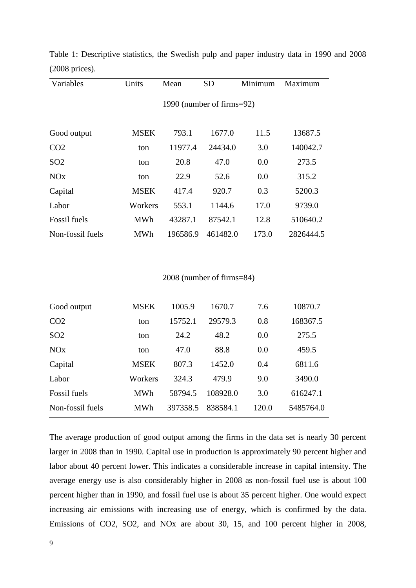| Variables             | Units       | Mean                      | <b>SD</b> | Minimum | Maximum   |  |  |  |  |
|-----------------------|-------------|---------------------------|-----------|---------|-----------|--|--|--|--|
|                       |             | 1990 (number of firms=92) |           |         |           |  |  |  |  |
| Good output           | <b>MSEK</b> | 793.1                     | 1677.0    | 11.5    | 13687.5   |  |  |  |  |
| CO <sub>2</sub>       | ton         | 11977.4                   | 24434.0   | 3.0     | 140042.7  |  |  |  |  |
| SO <sub>2</sub>       | ton         | 20.8                      | 47.0      | 0.0     | 273.5     |  |  |  |  |
| <b>NO<sub>x</sub></b> | ton         | 22.9                      | 52.6      | 0.0     | 315.2     |  |  |  |  |
| Capital               | <b>MSEK</b> | 417.4                     | 920.7     | 0.3     | 5200.3    |  |  |  |  |
| Labor                 | Workers     | 553.1                     | 1144.6    | 17.0    | 9739.0    |  |  |  |  |
| <b>Fossil</b> fuels   | <b>MWh</b>  | 43287.1                   | 87542.1   | 12.8    | 510640.2  |  |  |  |  |
| Non-fossil fuels      | <b>MWh</b>  | 196586.9                  | 461482.0  | 173.0   | 2826444.5 |  |  |  |  |

Table 1: Descriptive statistics, the Swedish pulp and paper industry data in 1990 and 2008 (2008 prices).

#### 2008 (number of firms=84)

| Good output           | <b>MSEK</b> | 1005.9   | 1670.7   | 7.6   | 10870.7   |
|-----------------------|-------------|----------|----------|-------|-----------|
| CO <sub>2</sub>       | ton         | 15752.1  | 29579.3  | 0.8   | 168367.5  |
| SO <sub>2</sub>       | ton         | 24.2     | 48.2     | 0.0   | 275.5     |
| <b>NO<sub>x</sub></b> | ton         | 47.0     | 88.8     | 0.0   | 459.5     |
| Capital               | <b>MSEK</b> | 807.3    | 1452.0   | 0.4   | 6811.6    |
| Labor                 | Workers     | 324.3    | 479.9    | 9.0   | 3490.0    |
| <b>Fossil</b> fuels   | <b>MWh</b>  | 58794.5  | 108928.0 | 3.0   | 616247.1  |
| Non-fossil fuels      | MWh         | 397358.5 | 838584.1 | 120.0 | 5485764.0 |

The average production of good output among the firms in the data set is nearly 30 percent larger in 2008 than in 1990. Capital use in production is approximately 90 percent higher and labor about 40 percent lower. This indicates a considerable increase in capital intensity. The average energy use is also considerably higher in 2008 as non-fossil fuel use is about 100 percent higher than in 1990, and fossil fuel use is about 35 percent higher. One would expect increasing air emissions with increasing use of energy, which is confirmed by the data. Emissions of CO2, SO2, and NOx are about 30, 15, and 100 percent higher in 2008,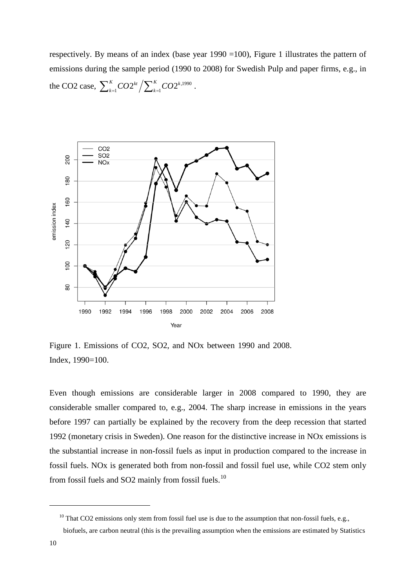respectively. By means of an index (base year 1990 =100), Figure 1 illustrates the pattern of emissions during the sample period (1990 to 2008) for Swedish Pulp and paper firms, e.g., in the CO2 case,  $\sum_{k=1}^{K} CO2^{kt} / \sum_{k=1}^{K} CO2^{k,1990}$  .



Figure 1. Emissions of CO2, SO2, and NOx between 1990 and 2008. Index, 1990=100.

Even though emissions are considerable larger in 2008 compared to 1990, they are considerable smaller compared to, e.g., 2004. The sharp increase in emissions in the years before 1997 can partially be explained by the recovery from the deep recession that started 1992 (monetary crisis in Sweden). One reason for the distinctive increase in NOx emissions is the substantial increase in non-fossil fuels as input in production compared to the increase in fossil fuels. NOx is generated both from non-fossil and fossil fuel use, while CO2 stem only from fossil fuels and SO2 mainly from fossil fuels.<sup>[10](#page-10-0)</sup>

<span id="page-10-0"></span> $10$  That CO2 emissions only stem from fossil fuel use is due to the assumption that non-fossil fuels, e.g.,

biofuels, are carbon neutral (this is the prevailing assumption when the emissions are estimated by Statistics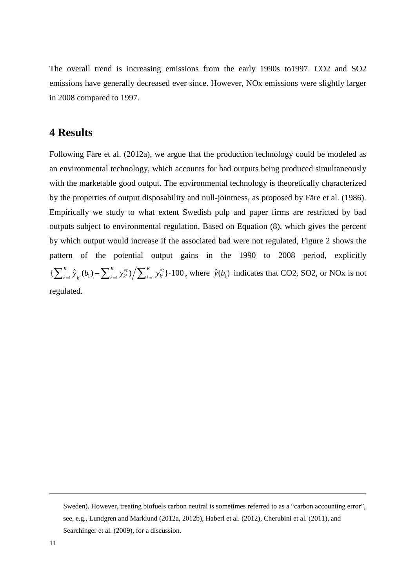The overall trend is increasing emissions from the early 1990s to1997. CO2 and SO2 emissions have generally decreased ever since. However, NOx emissions were slightly larger in 2008 compared to 1997.

### **4 Results**

Following Färe et al. (2012a), we argue that the production technology could be modeled as an environmental technology, which accounts for bad outputs being produced simultaneously with the marketable good output. The environmental technology is theoretically characterized by the properties of output disposability and null-jointness, as proposed by Färe et al. (1986). Empirically we study to what extent Swedish pulp and paper firms are restricted by bad outputs subject to environmental regulation. Based on Equation (8), which gives the percent by which output would increase if the associated bad were not regulated, Figure 2 shows the pattern of the potential output gains in the 1990 to 2008 period, explicitly  $\left\{ \sum_{k=1}^{K} \hat{y}_{k}(b_1) - \sum_{k=1}^{K} y_{k'}^{*t} \right\} / \sum_{k=1}^{K} y_{k'}^{*t} \right\} \cdot 100$ , where  $\hat{y}(b_1)$  indicates that CO2, SO2, or NOx is not regulated.

Sweden). However, treating biofuels carbon neutral is sometimes referred to as a "carbon accounting error", see, e.g., Lundgren and Marklund (2012a, 2012b), Haberl et al. (2012), Cherubini et al. (2011), and Searchinger et al. (2009), for a discussion.

-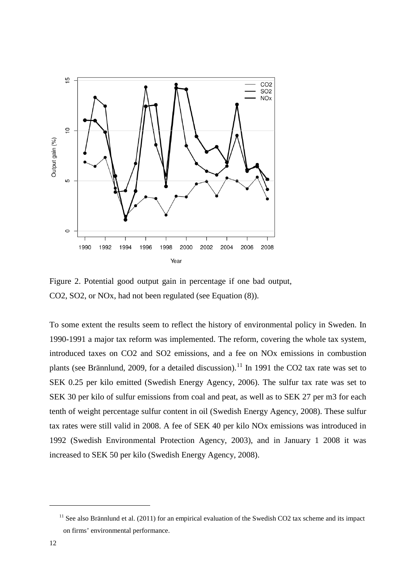

Figure 2. Potential good output gain in percentage if one bad output, CO2, SO2, or NOx, had not been regulated (see Equation (8)).

To some extent the results seem to reflect the history of environmental policy in Sweden. In 1990-1991 a major tax reform was implemented. The reform, covering the whole tax system, introduced taxes on CO2 and SO2 emissions, and a fee on NOx emissions in combustion plants (see Brännlund, 2009, for a detailed discussion).<sup>[11](#page-12-0)</sup> In 1991 the CO2 tax rate was set to SEK 0.25 per kilo emitted (Swedish Energy Agency, 2006). The sulfur tax rate was set to SEK 30 per kilo of sulfur emissions from coal and peat, as well as to SEK 27 per m3 for each tenth of weight percentage sulfur content in oil (Swedish Energy Agency, 2008). These sulfur tax rates were still valid in 2008. A fee of SEK 40 per kilo NOx emissions was introduced in 1992 (Swedish Environmental Protection Agency, 2003), and in January 1 2008 it was increased to SEK 50 per kilo (Swedish Energy Agency, 2008).

<span id="page-12-0"></span><sup>&</sup>lt;sup>11</sup> See also Brännlund et al. (2011) for an empirical evaluation of the Swedish CO2 tax scheme and its impact on firms' environmental performance.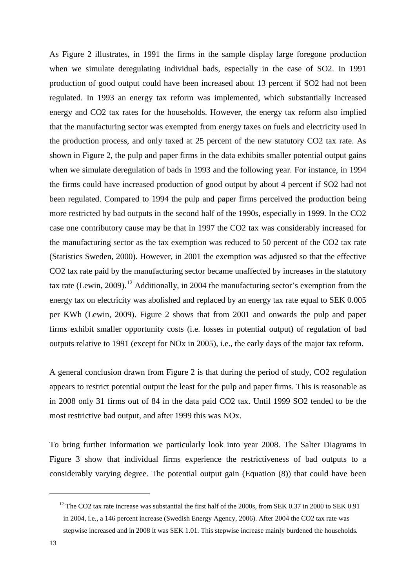As Figure 2 illustrates, in 1991 the firms in the sample display large foregone production when we simulate deregulating individual bads, especially in the case of SO2. In 1991 production of good output could have been increased about 13 percent if SO2 had not been regulated. In 1993 an energy tax reform was implemented, which substantially increased energy and CO2 tax rates for the households. However, the energy tax reform also implied that the manufacturing sector was exempted from energy taxes on fuels and electricity used in the production process, and only taxed at 25 percent of the new statutory CO2 tax rate. As shown in Figure 2, the pulp and paper firms in the data exhibits smaller potential output gains when we simulate deregulation of bads in 1993 and the following year. For instance, in 1994 the firms could have increased production of good output by about 4 percent if SO2 had not been regulated. Compared to 1994 the pulp and paper firms perceived the production being more restricted by bad outputs in the second half of the 1990s, especially in 1999. In the CO2 case one contributory cause may be that in 1997 the CO2 tax was considerably increased for the manufacturing sector as the tax exemption was reduced to 50 percent of the CO2 tax rate (Statistics Sweden, 2000). However, in 2001 the exemption was adjusted so that the effective CO2 tax rate paid by the manufacturing sector became unaffected by increases in the statutory tax rate (Lewin, 2009).<sup>[12](#page-13-0)</sup> Additionally, in 2004 the manufacturing sector's exemption from the energy tax on electricity was abolished and replaced by an energy tax rate equal to SEK 0.005 per KWh (Lewin, 2009). Figure 2 shows that from 2001 and onwards the pulp and paper firms exhibit smaller opportunity costs (i.e. losses in potential output) of regulation of bad outputs relative to 1991 (except for NOx in 2005), i.e., the early days of the major tax reform.

A general conclusion drawn from Figure 2 is that during the period of study, CO2 regulation appears to restrict potential output the least for the pulp and paper firms. This is reasonable as in 2008 only 31 firms out of 84 in the data paid CO2 tax. Until 1999 SO2 tended to be the most restrictive bad output, and after 1999 this was NOx.

To bring further information we particularly look into year 2008. The Salter Diagrams in Figure 3 show that individual firms experience the restrictiveness of bad outputs to a considerably varying degree. The potential output gain (Equation (8)) that could have been

<span id="page-13-0"></span> $12$  The CO2 tax rate increase was substantial the first half of the 2000s, from SEK 0.37 in 2000 to SEK 0.91 in 2004, i.e., a 146 percent increase (Swedish Energy Agency, 2006). After 2004 the CO2 tax rate was stepwise increased and in 2008 it was SEK 1.01. This stepwise increase mainly burdened the households.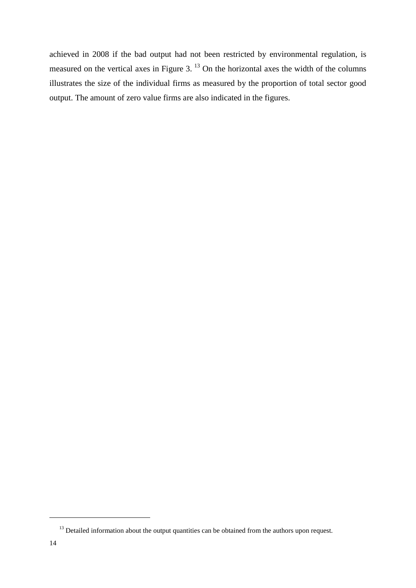achieved in 2008 if the bad output had not been restricted by environmental regulation, is measured on the vertical axes in Figure 3.<sup>[13](#page-14-0)</sup> On the horizontal axes the width of the columns illustrates the size of the individual firms as measured by the proportion of total sector good output. The amount of zero value firms are also indicated in the figures.

<span id="page-14-0"></span><sup>&</sup>lt;sup>13</sup> Detailed information about the output quantities can be obtained from the authors upon request.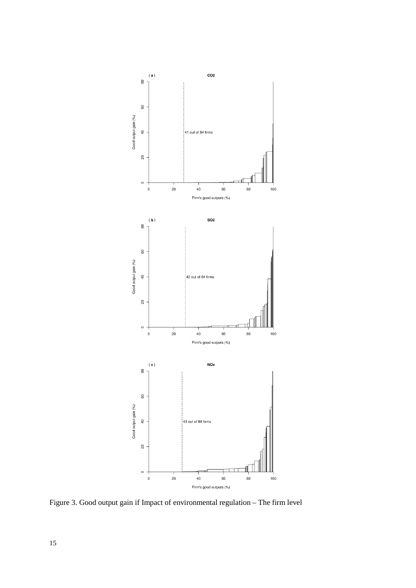

Figure 3. Good output gain if Impact of environmental regulation – The firm level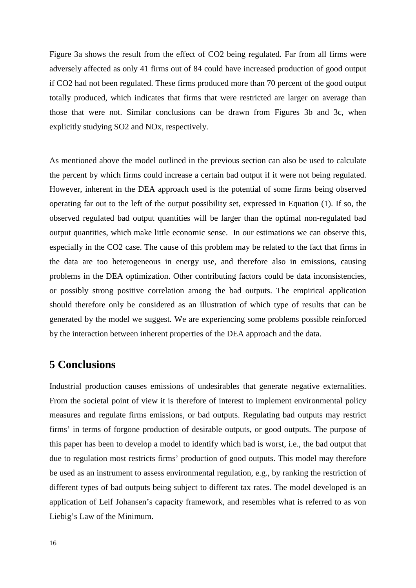Figure 3a shows the result from the effect of CO2 being regulated. Far from all firms were adversely affected as only 41 firms out of 84 could have increased production of good output if CO2 had not been regulated. These firms produced more than 70 percent of the good output totally produced, which indicates that firms that were restricted are larger on average than those that were not. Similar conclusions can be drawn from Figures 3b and 3c, when explicitly studying SO2 and NOx, respectively.

As mentioned above the model outlined in the previous section can also be used to calculate the percent by which firms could increase a certain bad output if it were not being regulated. However, inherent in the DEA approach used is the potential of some firms being observed operating far out to the left of the output possibility set, expressed in Equation (1). If so, the observed regulated bad output quantities will be larger than the optimal non-regulated bad output quantities, which make little economic sense. In our estimations we can observe this, especially in the CO2 case. The cause of this problem may be related to the fact that firms in the data are too heterogeneous in energy use, and therefore also in emissions, causing problems in the DEA optimization. Other contributing factors could be data inconsistencies, or possibly strong positive correlation among the bad outputs. The empirical application should therefore only be considered as an illustration of which type of results that can be generated by the model we suggest. We are experiencing some problems possible reinforced by the interaction between inherent properties of the DEA approach and the data.

## **5 Conclusions**

Industrial production causes emissions of undesirables that generate negative externalities. From the societal point of view it is therefore of interest to implement environmental policy measures and regulate firms emissions, or bad outputs. Regulating bad outputs may restrict firms' in terms of forgone production of desirable outputs, or good outputs. The purpose of this paper has been to develop a model to identify which bad is worst, i.e., the bad output that due to regulation most restricts firms' production of good outputs. This model may therefore be used as an instrument to assess environmental regulation, e.g., by ranking the restriction of different types of bad outputs being subject to different tax rates. The model developed is an application of Leif Johansen's capacity framework, and resembles what is referred to as von Liebig's Law of the Minimum.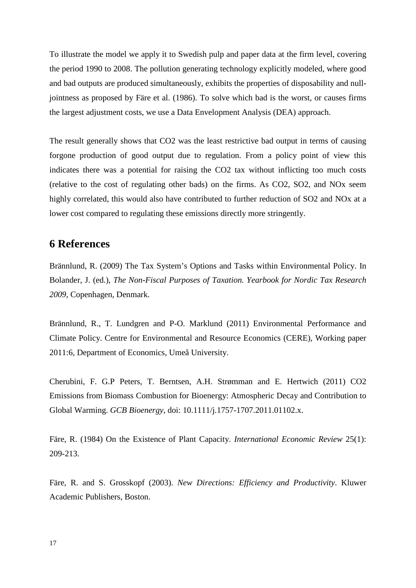To illustrate the model we apply it to Swedish pulp and paper data at the firm level, covering the period 1990 to 2008. The pollution generating technology explicitly modeled, where good and bad outputs are produced simultaneously, exhibits the properties of disposability and nulljointness as proposed by Färe et al. (1986). To solve which bad is the worst, or causes firms the largest adjustment costs, we use a Data Envelopment Analysis (DEA) approach.

The result generally shows that CO2 was the least restrictive bad output in terms of causing forgone production of good output due to regulation. From a policy point of view this indicates there was a potential for raising the CO2 tax without inflicting too much costs (relative to the cost of regulating other bads) on the firms. As CO2, SO2, and NOx seem highly correlated, this would also have contributed to further reduction of SO2 and NOx at a lower cost compared to regulating these emissions directly more stringently.

## **6 References**

Brännlund, R. (2009) The Tax System's Options and Tasks within Environmental Policy. In Bolander, J. (ed.), *The Non-Fiscal Purposes of Taxation. Yearbook for Nordic Tax Research 2009*, Copenhagen, Denmark.

Brännlund, R., T. Lundgren and P-O. Marklund (2011) Environmental Performance and Climate Policy. Centre for Environmental and Resource Economics (CERE), Working paper 2011:6, Department of Economics, Umeå University.

Cherubini, F. G.P Peters, T. Berntsen, A.H. Strømman and E. Hertwich (2011) CO2 Emissions from Biomass Combustion for Bioenergy: Atmospheric Decay and Contribution to Global Warming. *GCB Bioenergy*, doi: 10.1111/j.1757-1707.2011.01102.x.

Färe, R. (1984) On the Existence of Plant Capacity. *International Economic Review* 25(1): 209-213.

Färe, R. and S. Grosskopf (2003). *New Directions: Efficiency and Productivity*. Kluwer Academic Publishers, Boston.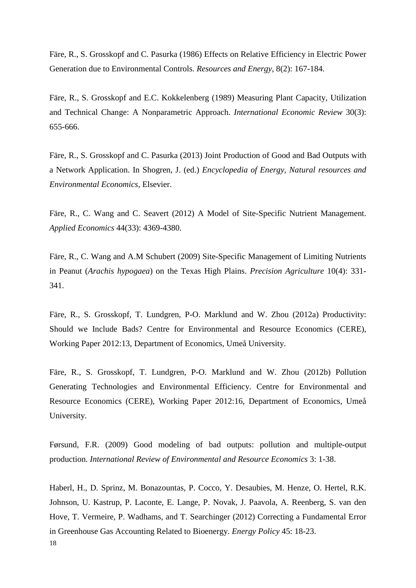Färe, R., S. Grosskopf and C. Pasurka (1986) Effects on Relative Efficiency in Electric Power Generation due to Environmental Controls. *Resources and Energy*, 8(2): 167-184.

Färe, R., S. Grosskopf and E.C. Kokkelenberg (1989) Measuring Plant Capacity, Utilization and Technical Change: A Nonparametric Approach. *International Economic Review* 30(3): 655-666.

Färe, R., S. Grosskopf and C. Pasurka (2013) Joint Production of Good and Bad Outputs with a Network Application. In Shogren, J. (ed.) *Encyclopedia of Energy, Natural resources and Environmental Economics*, Elsevier.

Färe, R., C. Wang and C. Seavert (2012) A Model of Site-Specific Nutrient Management. *Applied Economics* 44(33): 4369-4380.

Färe, R., C. Wang and A.M Schubert (2009) Site-Specific Management of Limiting Nutrients in Peanut (*Arachis hypogaea*) on the Texas High Plains. *Precision Agriculture* 10(4): 331- 341.

Färe, R., S. Grosskopf, T. Lundgren, P-O. Marklund and W. Zhou (2012a) Productivity: Should we Include Bads? Centre for Environmental and Resource Economics (CERE), Working Paper 2012:13, Department of Economics, Umeå University.

Färe, R., S. Grosskopf, T. Lundgren, P-O. Marklund and W. Zhou (2012b) Pollution Generating Technologies and Environmental Efficiency. Centre for Environmental and Resource Economics (CERE), Working Paper 2012:16, Department of Economics, Umeå University.

Førsund, F.R. (2009) Good modeling of bad outputs: pollution and multiple-output production. *International Review of Environmental and Resource Economics* 3: 1-38.

18 Haberl, H., D. Sprinz, M. Bonazountas, P. Cocco, Y. Desaubies, M. Henze, O. Hertel, R.K. Johnson, U. Kastrup, P. Laconte, E. Lange, P. Novak, J. Paavola, A. Reenberg, S. van den Hove, T. Vermeire, P. Wadhams, and T. Searchinger (2012) Correcting a Fundamental Error in Greenhouse Gas Accounting Related to Bioenergy. *Energy Policy* 45: 18-23.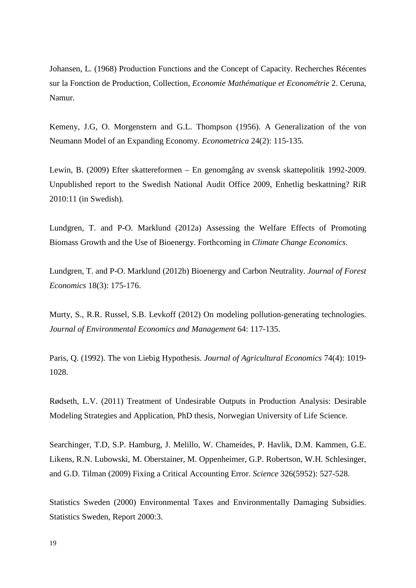Johansen, L. (1968) Production Functions and the Concept of Capacity. Recherches Récentes sur la Fonction de Production, Collection, *Economie Mathématique et Econométrie* 2. Ceruna, Namur.

Kemeny, J.G, O. Morgenstern and G.L. Thompson (1956). A Generalization of the von Neumann Model of an Expanding Economy. *Econometrica* 24(2): 115-135.

Lewin, B. (2009) Efter skattereformen – En genomgång av svensk skattepolitik 1992-2009. Unpublished report to the Swedish National Audit Office 2009, Enhetlig beskattning? RiR 2010:11 (in Swedish).

Lundgren, T. and P-O. Marklund (2012a) Assessing the Welfare Effects of Promoting Biomass Growth and the Use of Bioenergy. Forthcoming in *Climate Change Economics*.

Lundgren, T. and P-O. Marklund (2012b) Bioenergy and Carbon Neutrality. *Journal of Forest Economics* 18(3): 175-176.

Murty, S., R.R. Russel, S.B. Levkoff (2012) On modeling pollution-generating technologies. *Journal of Environmental Economics and Management* 64: 117-135.

Paris, Q. (1992). The von Liebig Hypothesis. *Journal of Agricultural Economics* 74(4): 1019- 1028.

Rødseth, L.V. (2011) Treatment of Undesirable Outputs in Production Analysis: Desirable Modeling Strategies and Application, PhD thesis, Norwegian University of Life Science.

Searchinger, T.D, S.P. Hamburg, J. Melillo, W. Chameides, P. Havlik, D.M. Kammen, G.E. Likens, R.N. Lubowski, M. Oberstainer, M. Oppenheimer, G.P. Robertson, W.H. Schlesinger, and G.D. Tilman (2009) Fixing a Critical Accounting Error. *Science* 326(5952): 527-528.

Statistics Sweden (2000) Environmental Taxes and Environmentally Damaging Subsidies. Statistics Sweden, Report 2000:3.